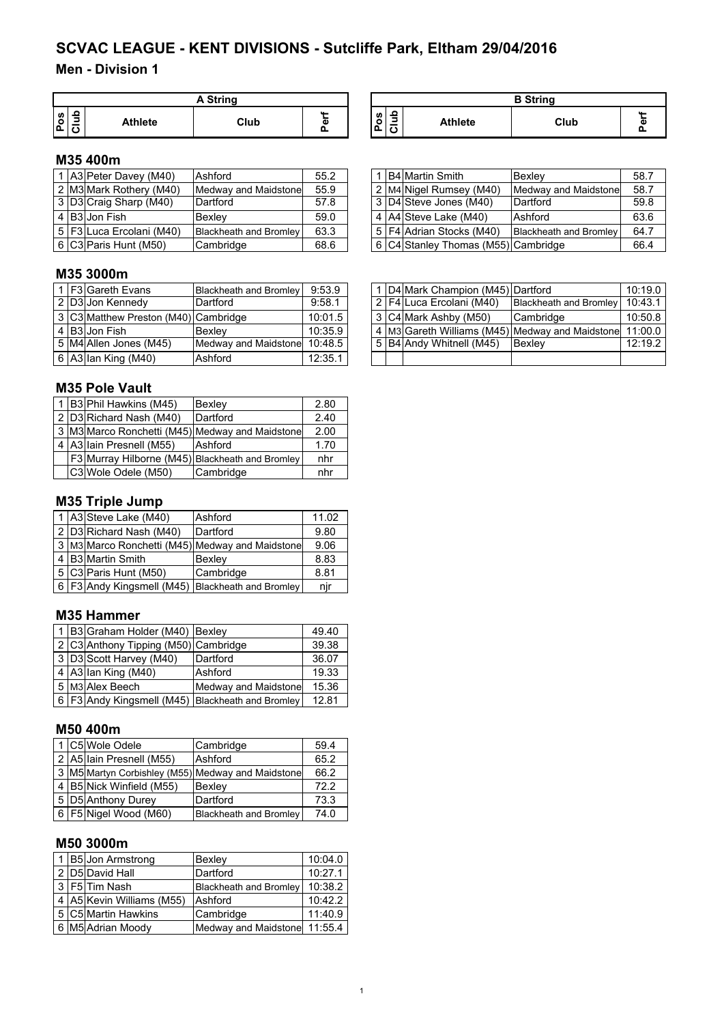#### **Men - Division 1**

|         | A String |                |      |               |  |  |  |
|---------|----------|----------------|------|---------------|--|--|--|
| U)<br>o | Ξ        | <b>Athlete</b> | Club | . .<br>ω<br>O |  |  |  |

| A String       |  |                                     | <b>B</b> String |      |  |  |  |
|----------------|--|-------------------------------------|-----------------|------|--|--|--|
| <br>Club<br>A١ |  | ء<br><b>S</b><br>ᆖ<br>$\Omega$<br>◡ | <b>Athlete</b>  | Club |  |  |  |

#### **M35 400m**

|                | 1 A3 Peter Davey (M40)   | Ashford                       | 55.2 |
|----------------|--------------------------|-------------------------------|------|
|                | 2 M3 Mark Rothery (M40)  | Medway and Maidstone          | 55.9 |
|                | 3 D3 Craig Sharp (M40)   | Dartford                      | 57.8 |
| $\overline{4}$ | <b>B3</b> Jon Fish       | <b>Bexlev</b>                 | 59.0 |
|                | 5 F3 Luca Ercolani (M40) | <b>Blackheath and Bromley</b> | 63.3 |
|                | 6 C3 Paris Hunt (M50)    | Cambridge                     | 68.6 |

#### 1 B4 Martin Smith<br>
2 M4 Nigel Rumsey (M40) Medway and Maidstone 58.7 2 M4 Nigel Rumsey (M40) Medway and Maidstone 58.7<br>3 D4 Steve Jones (M40) Dartford 59.8 3 D4 Steve Jones (M40) 4 A4 Steve Lake (M40) Ashford 63.6 5 F4 Adrian Stocks (M40) Blackheath and Bromley 64.7  $6$  C4 Stanley Thomas (M55) Cambridge 66.4

### **M35 3000m**

|  | 1 F3 Gareth Evans                    | <b>Blackheath and Bromley</b> | 9:53.9  |
|--|--------------------------------------|-------------------------------|---------|
|  | 2 D3 Jon Kennedy                     | Dartford                      | 9:58.1  |
|  | 3 C3 Matthew Preston (M40) Cambridge |                               | 10:01.5 |
|  | 4 B3 Jon Fish                        | Bexley                        | 10:35.9 |
|  | 5 M4 Allen Jones (M45)               | Medway and Maidstone          | 10:48.5 |
|  | 6 A3 Ian King (M40)                  | Ashford                       | 12:35.1 |

#### **M35 Pole Vault**

|                | 1 B3 Phil Hawkins (M45) | Bexley                                          | 2.80 |
|----------------|-------------------------|-------------------------------------------------|------|
|                | 2 D3 Richard Nash (M40) | Dartford                                        | 2.40 |
|                |                         | 3 M3 Marco Ronchetti (M45) Medway and Maidstone | 2.00 |
| $\overline{4}$ | A3 Iain Presnell (M55)  | Ashford                                         | 1.70 |
|                |                         | F3 Murray Hilborne (M45) Blackheath and Bromley | nhr  |
|                | C3 Wole Odele (M50)     | Cambridge                                       | nhr  |

### **M35 Triple Jump**

|                | 1 A3 Steve Lake (M40)   | Ashford                                          | 11.02 |
|----------------|-------------------------|--------------------------------------------------|-------|
|                | 2 D3 Richard Nash (M40) | Dartford                                         | 9.80  |
|                |                         | 3 M3 Marco Ronchetti (M45) Medway and Maidstone  | 9.06  |
| $\overline{4}$ | B3 Martin Smith         | Bexley                                           | 8.83  |
|                | 5 C3 Paris Hunt (M50)   | Cambridge                                        | 8.81  |
|                |                         | 6 F3 Andy Kingsmell (M45) Blackheath and Bromley | nir   |

#### **M35 Hammer**

|  | 1 B3 Graham Holder (M40) Bexley      |                                                  | 49.40 |
|--|--------------------------------------|--------------------------------------------------|-------|
|  | 2 C3 Anthony Tipping (M50) Cambridge |                                                  | 39.38 |
|  | 3 D3 Scott Harvey (M40)              | Dartford                                         | 36.07 |
|  | 4 A3 Ian King (M40)                  | Ashford                                          | 19.33 |
|  | 5 M3 Alex Beech                      | Medway and Maidstone                             | 15.36 |
|  |                                      | 6 F3 Andy Kingsmell (M45) Blackheath and Bromley | 12.81 |

#### **M50 400m**

|  | 1 C5 Wole Odele           | Cambridge                                         | 59.4 |
|--|---------------------------|---------------------------------------------------|------|
|  | 2 A5 Iain Presnell (M55)  | Ashford                                           | 65.2 |
|  |                           | 3 M5 Martyn Corbishley (M55) Medway and Maidstone | 66.2 |
|  | 4 B5 Nick Winfield (M55)  | Bexley                                            | 72.2 |
|  | 5 D5 Anthony Durey        | Dartford                                          | 73.3 |
|  | 6   F5   Nigel Wood (M60) | <b>Blackheath and Bromley</b>                     | 74.0 |

#### **M50 3000m**

|  | 1 B5 Jon Armstrong        | Bexley                        | 10:04.0 |
|--|---------------------------|-------------------------------|---------|
|  | 2 D5 David Hall           | Dartford                      | 10:27.1 |
|  | 3 F5 Tim Nash             | <b>Blackheath and Bromley</b> | 10:38.2 |
|  | 4 A5 Kevin Williams (M55) | Ashford                       | 10:42.2 |
|  | 5 C5 Martin Hawkins       | Cambridge                     | 11:40.9 |
|  | 6 M5 Adrian Moody         | Medway and Maidstone 11:55.4  |         |

|  | 1 F3 Gareth Evans                    | <b>Blackheath and Bromley</b> | 9:53.9  |  | 1 D4 Mark Champion (M45) Dartford |                                                               | 10:19.0 |
|--|--------------------------------------|-------------------------------|---------|--|-----------------------------------|---------------------------------------------------------------|---------|
|  | 2 D3 Jon Kennedy                     | Dartford                      | 9:58.1  |  | 2 F4 Luca Ercolani (M40)          | Blackheath and Bromley   10:43.1                              |         |
|  | 3 C3 Matthew Preston (M40) Cambridge |                               | 10:01.5 |  | 13 C4 Mark Ashby (M50)            | Cambridge                                                     | 10:50.8 |
|  | 4 IB3IJon Fish                       | <b>Bexlev</b>                 | 10:35.9 |  |                                   | 4   M3 Gareth Williams (M45)   Medway and Maidstone   11:00.0 |         |
|  | 5 M4 Allen Jones (M45)               | Medway and Maidstone          | 10:48.5 |  | 5 B4 Andy Whitnell (M45)          | <b>IBexlev</b>                                                | 12:19.2 |
|  | 6   A3   Ian King (M40)              | Ashford                       | 12:35.1 |  |                                   |                                                               |         |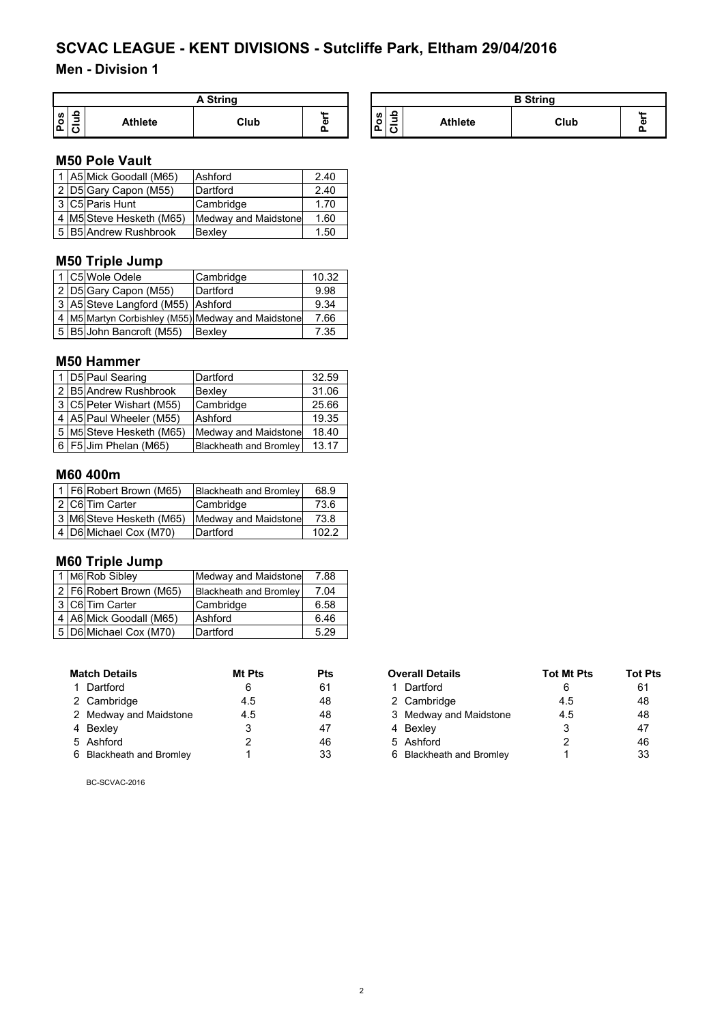### **Men - Division 1**

|        | <b>A String</b> |                |      |               |  |  |  |
|--------|-----------------|----------------|------|---------------|--|--|--|
| w<br>o | ٥               | <b>Athlete</b> | Club | u.,<br>æ<br>o |  |  |  |

| A String |                                           |  |                |      | <b>B</b> String |  |
|----------|-------------------------------------------|--|----------------|------|-----------------|--|
| Club     | ٩ŋ<br>ဖ္<br>$\circ$<br>ω<br>$\Omega$<br>ە |  | <b>Athlete</b> | Club |                 |  |

#### **M50 Pole Vault**

|  | 1 A5 Mick Goodall (M65)  | Ashford              | 2.40 |
|--|--------------------------|----------------------|------|
|  | 2 D5 Gary Capon (M55)    | Dartford             | 2.40 |
|  | 3 C5 Paris Hunt          | Cambridge            | 1.70 |
|  | 4 M5 Steve Hesketh (M65) | Medway and Maidstone | 1.60 |
|  | 5 B5 Andrew Rushbrook    | Bexley               | 1.50 |

### **M50 Triple Jump**

|  | 1 C5 Wole Odele                   | Cambridge                                               | 10.32 |
|--|-----------------------------------|---------------------------------------------------------|-------|
|  | 2 D5 Gary Capon (M55)             | Dartford                                                | 9.98  |
|  | 3 A5 Steve Langford (M55) Ashford |                                                         | 9.34  |
|  |                                   | 4   M5   Martyn Corbishley (M55)   Medway and Maidstone | 7.66  |
|  | 5 B5 John Bancroft (M55)          | Bexley                                                  | 7.35  |

#### **M50 Hammer**

|  | 1 D5 Paul Searing           | Dartford                      | 32.59 |
|--|-----------------------------|-------------------------------|-------|
|  | 2 B5 Andrew Rushbrook       | Bexley                        | 31.06 |
|  | 3 C5 Peter Wishart (M55)    | Cambridge                     | 25.66 |
|  | 4   A5   Paul Wheeler (M55) | Ashford                       | 19.35 |
|  | 5 M5 Steve Hesketh (M65)    | Medway and Maidstone          | 18.40 |
|  | 6   F5 Jim Phelan (M65)     | <b>Blackheath and Bromley</b> | 13.17 |

#### **M60 400m**

|  | 1 F6 Robert Brown (M65)  | <b>Blackheath and Bromley</b> | 68.9  |
|--|--------------------------|-------------------------------|-------|
|  | 2 C6 Tim Carter          | Cambridge                     | 73.6  |
|  | 3 M6 Steve Hesketh (M65) | Medway and Maidstone          | 73.8  |
|  | 4 D6 Michael Cox (M70)   | Dartford                      | 102.2 |

#### **M60 Triple Jump**

|  | 1 M6 Rob Sibley             | Medway and Maidstone          | 7.88 |
|--|-----------------------------|-------------------------------|------|
|  | 2   F6   Robert Brown (M65) | <b>Blackheath and Bromley</b> | 7.04 |
|  | 3 C6 Tim Carter             | Cambridge                     | 6.58 |
|  | 4 A6 Mick Goodall (M65)     | Ashford                       | 6.46 |
|  | 5 D6 Michael Cox (M70)      | Dartford                      | 5.29 |

| <b>Match Details</b> |                          | Mt Pts | <b>Pts</b> | <b>Overall Details</b>   | <b>Tot Mt Pts</b> | Tot I |
|----------------------|--------------------------|--------|------------|--------------------------|-------------------|-------|
|                      | 1 Dartford               |        | 61         | l Dartford               | 6                 | 61    |
|                      | 2 Cambridge              | 4.5    | 48         | 2 Cambridge              | 4.5               | 48    |
|                      | 2 Medway and Maidstone   | 4.5    | 48         | 3 Medway and Maidstone   | 4.5               | 48    |
|                      | 4 Bexley                 |        | 47         | 4 Bexley                 |                   | 47    |
|                      | 5 Ashford                |        | 46         | 5 Ashford                |                   | 46    |
|                      | 6 Blackheath and Bromley |        | 33         | 6 Blackheath and Bromley |                   | 33    |

| <b>Match Details</b>     | Mt Pts<br>Pts |    | <b>Overall Details</b>   | <b>Tot Mt Pts</b> | <b>Tot Pts</b> |
|--------------------------|---------------|----|--------------------------|-------------------|----------------|
| 1 Dartford               | 6             | 61 | 1 Dartford               |                   | 61             |
| 2 Cambridge              | 4.5           | 48 | 2 Cambridge              | 4.5               | 48             |
| 2 Medway and Maidstone   | 4.5           | 48 | 3 Medway and Maidstone   | 4.5               | 48             |
| 4 Bexley                 |               | 47 | 4 Bexley                 |                   | 47             |
| 5 Ashford                |               | 46 | 5 Ashford                |                   | 46             |
| 6 Blackheath and Bromley |               | 33 | 6 Blackheath and Bromley |                   | 33             |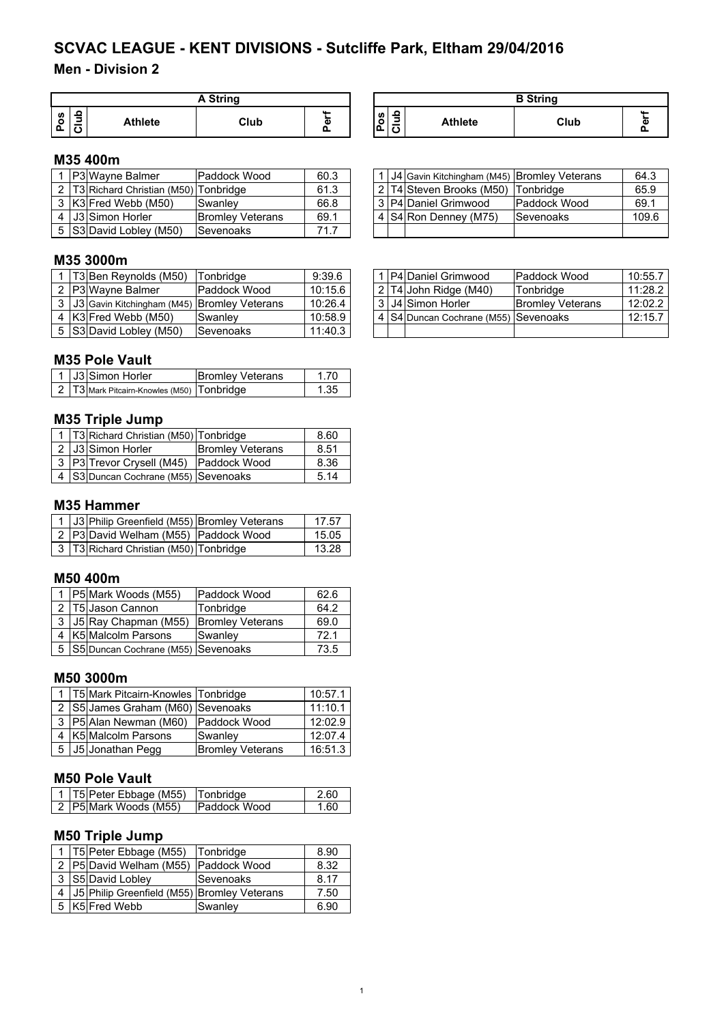## **Men - Division 2**

|               | A String |                |      |             |  |  |  |
|---------------|----------|----------------|------|-------------|--|--|--|
| <b>S</b><br>o |          | <b>Athlete</b> | Club | ۰<br>Φ<br>Ω |  |  |  |

#### **M35 400m**

|  | <b>IP3IWavne Balmer</b>              | IPaddock Wood           | 60.3 |  | 1 J4 Gavin Kitchingham (M45) Bromley Veterans |                      | 64.3  |
|--|--------------------------------------|-------------------------|------|--|-----------------------------------------------|----------------------|-------|
|  | T3 Richard Christian (M50) Tonbridge |                         | 61.3 |  | 2 T4 Steven Brooks (M50) Tonbridge            |                      | 65.9  |
|  | 3 K3 Fred Webb (M50)                 | Swanlev                 | 66.8 |  | 3 P4 Daniel Grimwood                          | <b>IPaddock Wood</b> | 69.1  |
|  | 4 I J3 Simon Horler                  | <b>Bromley Veterans</b> | 69.1 |  | 4 S4 Ron Denney (M75)                         | <b>Sevenoaks</b>     | 109.6 |
|  | 5 S3 David Lobley (M50)              | Sevenoaks               | 71.7 |  |                                               |                      |       |

#### **M35 3000m**

|  | T3 Ben Reynolds (M50)                         | Tonbridae        | 9:39.6  |  | 1 P4 Daniel Grimwood                       | Paddock Wood            | 10:55.7 |
|--|-----------------------------------------------|------------------|---------|--|--------------------------------------------|-------------------------|---------|
|  | 2 P3 Wavne Balmer                             | Paddock Wood     | 10:15.6 |  | $ 2 T4 $ John Ridge (M40)                  | Tonbridge               | 11:28.2 |
|  | 3 J3 Gavin Kitchingham (M45) Bromley Veterans |                  | 10:26.4 |  | 3   J4   Simon Horler                      | <b>Bromley Veterans</b> | 12:02.2 |
|  | 4 K3 Fred Webb (M50)                          | Swanley          | 10:58.9 |  | 4   S4   Duncan Cochrane (M55)   Sevenoaks |                         | 12:15.7 |
|  | 5 S3 David Lobley (M50)                       | <b>Sevenoaks</b> | 11:40.3 |  |                                            |                         |         |

#### **M35 Pole Vault**

|  | 1 J3 Simon Horler                              | <b>Bromley Veterans</b> |      |
|--|------------------------------------------------|-------------------------|------|
|  | 2   T3 Mark Pitcairn-Knowles (M50)   Tonbridge |                         | 1.35 |

### **M35 Triple Jump**

|  | 1   T3   Richard Christian (M50)   Tonbridge |                         | 8.60 |
|--|----------------------------------------------|-------------------------|------|
|  | 2 J3 Simon Horler                            | <b>Bromley Veterans</b> | 8.51 |
|  | 3   P3   Trevor Crysell (M45)   Paddock Wood |                         | 8.36 |
|  | 4 S3 Duncan Cochrane (M55) Sevenoaks         |                         | 5.14 |

#### **M35 Hammer**

|  | 1   J3   Philip Greenfield (M55)   Bromley Veterans | 17.57 |
|--|-----------------------------------------------------|-------|
|  | 2 P3 David Welham (M55) Paddock Wood                | 15.05 |
|  | 3   T3 Richard Christian (M50)   Tonbridge          | 13.28 |

#### **M50 400m**

|  | 1 P5 Mark Woods (M55)                     | Paddock Wood            | 62.6 |
|--|-------------------------------------------|-------------------------|------|
|  | 2 T5 Jason Cannon                         | Tonbridge               | 64.2 |
|  | 3   J5   Ray Chapman (M55)                | <b>Bromley Veterans</b> | 69.0 |
|  | K5 Malcolm Parsons                        | Swanley                 | 721  |
|  | 5   S5  Duncan Cochrane (M55)   Sevenoaks |                         | 73.5 |

#### **M50 3000m**

|  | 1   T5 Mark Pitcairn-Knowles   Tonbridge |                         | 10:57.1 |
|--|------------------------------------------|-------------------------|---------|
|  | 2   S5 James Graham (M60) Sevenoaks      |                         | 11:10.1 |
|  | 3   P5  Alan Newman (M60)                | <b>Paddock Wood</b>     | 12:02.9 |
|  | K5 Malcolm Parsons                       | Swanley                 | 12:07.4 |
|  | J5 Jonathan Pegg                         | <b>Bromley Veterans</b> | 16:51.3 |

#### **M50 Pole Vault**

| 1   T5   Peter Ebbage (M55)   Tonbridge |                      | 2.60 |
|-----------------------------------------|----------------------|------|
| 2 P5 Mark Woods (M55)                   | <b>IPaddock Wood</b> | ഭറ   |

## **M50 Triple Jump**

|  | 1   T5   Peter Ebbage (M55)                 | Tonbridge    | 8.90 |
|--|---------------------------------------------|--------------|------|
|  | 2 P5 David Welham (M55)                     | Paddock Wood | 8.32 |
|  | 3 S5 David Lobley                           | Sevenoaks    | 8.17 |
|  | J5 Philip Greenfield (M55) Bromley Veterans |              | 7.50 |
|  | K5 Fred Webb                                | Swanley      | 6.90 |

| A String |   | <b>B</b> String                         |                |      |                            |
|----------|---|-----------------------------------------|----------------|------|----------------------------|
| Club     | œ | o<br><b>S</b><br>$\circ$<br>-<br>ո<br>ت | <b>Athlete</b> | Club | <b>ALL</b><br>$\mathbf{r}$ |

|  | 1 J4 Gavin Kitchingham (M45) Bromley Veterans |              | 64.3  |
|--|-----------------------------------------------|--------------|-------|
|  | 2 T4 Steven Brooks (M50) Tonbridge            |              | 65.9  |
|  | 3 P4 Daniel Grimwood                          | Paddock Wood | 69.1  |
|  | 4 S4 Ron Denney (M75)                         | Sevenoaks    | 109.6 |
|  |                                               |              |       |

|  | 1 P4 Daniel Grimwood                       | Paddock Wood            | 10:55.7 |
|--|--------------------------------------------|-------------------------|---------|
|  | 2 T4 John Ridge (M40)                      | Tonbridge               | 11:28.2 |
|  | 3 J4 Simon Horler                          | <b>Bromley Veterans</b> | 12:02.2 |
|  | 4   S4   Duncan Cochrane (M55)   Sevenoaks |                         | 12:15.7 |
|  |                                            |                         |         |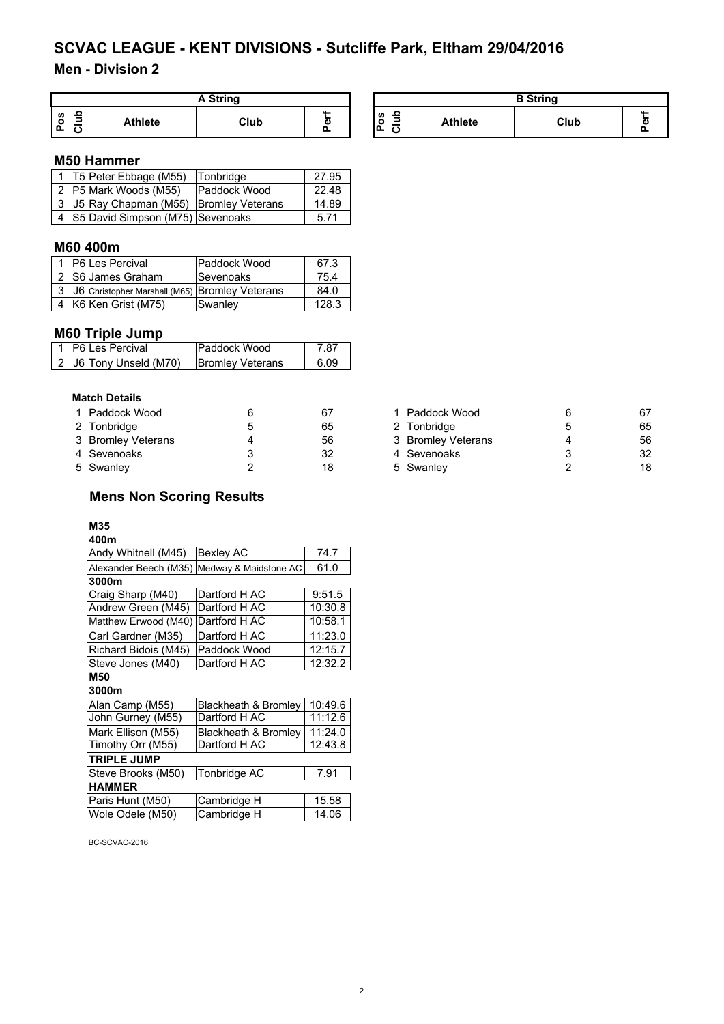### **Men - Division 2**

| A String      |  |         |      |   |  |
|---------------|--|---------|------|---|--|
| <b>S</b><br>o |  | Athlete | Club | ō |  |

| A String |    | <b>B</b> String    |             |                |      |       |
|----------|----|--------------------|-------------|----------------|------|-------|
| Club     | G) | ິທ<br>$\circ$<br>௳ | ິ<br>-<br>ω | <b>Athlete</b> | Club | <br>л |

#### **M50 Hammer**

|  | 1   T5   Peter Ebbage (M55)                   | Tonbridge           | 27.95 |
|--|-----------------------------------------------|---------------------|-------|
|  | 2 P5 Mark Woods (M55)                         | <b>Paddock Wood</b> | 22.48 |
|  | 3   J5   Ray Chapman (M55)   Bromley Veterans |                     | 14.89 |
|  | 4   S5   David Simpson (M75)   Sevenoaks      |                     | 5.71  |

#### **M60 400m**

|  | 1 P6 Les Percival                                      | Paddock Wood     | 67.3  |
|--|--------------------------------------------------------|------------------|-------|
|  | 2 S6 James Graham                                      | <b>Sevenoaks</b> | 75.4  |
|  | 3   J6   Christopher Marshall (M65)   Bromley Veterans |                  | 84.0  |
|  | 4 K6 Ken Grist (M75)                                   | Swanley          | 128.3 |

#### **M60 Triple Jump**

|  | 1 P6Les Percival       | <b>IPaddock Wood</b>    | 7 87  |
|--|------------------------|-------------------------|-------|
|  | 2 J6 Tony Unseld (M70) | <b>Bromley Veterans</b> | 6 0.9 |

#### **Match Details**

| 1 Paddock Wood     | 67 | 1 Paddock Wood     | 67 |
|--------------------|----|--------------------|----|
| 2 Tonbridge        | 65 | 2 Tonbridge        | 65 |
| 3 Bromley Veterans | 56 | 3 Bromley Veterans | 56 |
| 4 Sevenoaks        | 32 | 4 Sevenoaks        | 32 |
| 5 Swanley          | 18 | 5 Swanley          | 18 |

#### **Mens Non Scoring Results**

#### **M35**

## **400m**

| Andy Whitnell (M45)                         | <b>Bexley AC</b> | 74.7    |
|---------------------------------------------|------------------|---------|
| Alexander Beech (M35) Medway & Maidstone AC |                  | 61.0    |
| 3000m                                       |                  |         |
| Craig Sharp (M40)                           | Dartford H AC    | 9:51.5  |
| Andrew Green (M45)                          | Dartford H AC    | 10:30.8 |
| Matthew Erwood (M40) Dartford H AC          |                  | 10:58.1 |
| Carl Gardner (M35)                          | Dartford H AC    | 11:23.0 |
| Richard Bidois (M45)                        | Paddock Wood     | 12:15.7 |
| Steve Jones (M40)                           | Dartford H AC    | 12:32.2 |

#### **M50**

#### **3000m**<br>Alan Camp (M55) Blackheath & Bromley 10:49.6<br>Dartford H AC 11:12.6 John Gurney (M55) Mark Ellison (M55) Blackheath & Bromley 11:24.0<br>Timothy Orr (M55) Dartford H AC 12:43.8 Timothy Orr (M55) **TRIPLE JUMP** Steve Brooks (M50) Tonbridge AC 7.91 **HAMMER** Paris Hunt (M50) Cambridge H 15.58

| Paris Hunt (M50) | <b>Campridge H</b> | 15.56 |
|------------------|--------------------|-------|
| Wole Odele (M50) | Cambridge H        | 14.06 |
|                  |                    |       |

| 1 Paddock Wood     | 6 | 67 |
|--------------------|---|----|
| 2 Tonbridge        | 5 | 65 |
| 3 Bromley Veterans | 4 | 56 |
| 4 Sevenoaks        | 3 | 32 |
| 5 Swanley          | 2 | 18 |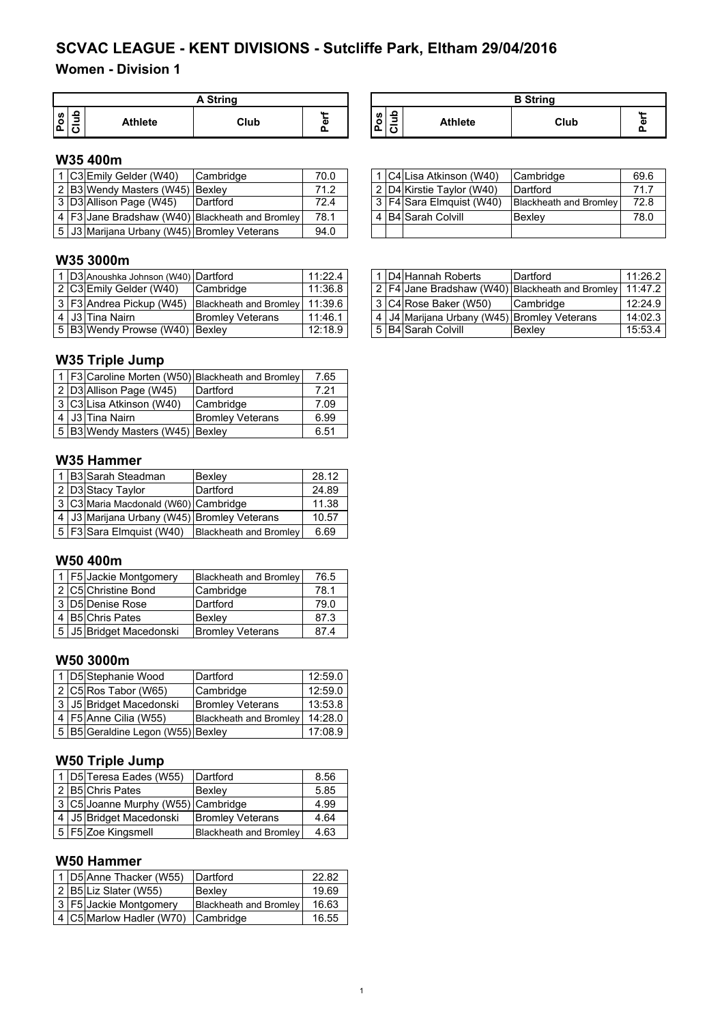## **Women - Division 1**

|               | A String |                |      |        |  |  |
|---------------|----------|----------------|------|--------|--|--|
| <b>S</b><br>c | ≘<br>∍   | <b>Athlete</b> | Club | Φ<br>o |  |  |

| A String |    | <b>B</b> String |                                         |                |      |  |
|----------|----|-----------------|-----------------------------------------|----------------|------|--|
| Club     | а: | ပိ<br>்ட        | -<br>-<br>$\overline{\phantom{a}}$<br>◡ | <b>Athlete</b> | Club |  |

### **W35 400m**

|  | 1 IC3IEmily Gelder (W40)                     | Cambridge                                           | 70.0 |  | 1 C4 Lisa Atkinson (W40)      | <b>Cambridge</b>              | 69.6 |
|--|----------------------------------------------|-----------------------------------------------------|------|--|-------------------------------|-------------------------------|------|
|  | 2 B3 Wendy Masters (W45) Bexley              |                                                     | 71.2 |  | 2   D4   Kirstie Taylor (W40) | Dartford                      | 71.7 |
|  | 3 D3 Allison Page (W45)                      | Dartford                                            | 72.4 |  | 3 F4 Sara Elmquist (W40)      | <b>Blackheath and Bromley</b> | 72.8 |
|  |                                              | 4   F3 Jane Bradshaw (W40)   Blackheath and Bromley | 78.1 |  | 4 B4 Sarah Colvill            | <b>Bexlev</b>                 | 78.0 |
|  | 5 JJ3 Marijana Urbany (W45) Bromley Veterans |                                                     | 94.0 |  |                               |                               |      |

#### **W35 3000m**

|  | 1 D3 Anoushka Johnson (W40) Dartford |                         | 11:22.4 |
|--|--------------------------------------|-------------------------|---------|
|  | 2 C3 Emily Gelder (W40)              | Cambridge               | 11:36.8 |
|  | 3 F3 Andrea Pickup (W45)             | Blackheath and Bromley  | 11:39.6 |
|  | 4 J3 Tina Nairn                      | <b>Bromley Veterans</b> | 11:46.1 |
|  | 5 B3 Wendy Prowse (W40) Bexley       |                         | 12:18.9 |

## **W35 Triple Jump**

|  |                                 | 1   F3 Caroline Morten (W50) Blackheath and Bromley | 7.65 |
|--|---------------------------------|-----------------------------------------------------|------|
|  | 2 D3 Allison Page (W45)         | Dartford                                            | 7.21 |
|  | 3 C3 Lisa Atkinson (W40)        | Cambridge                                           | 7.09 |
|  | 4 J3 Tina Nairn                 | <b>Bromley Veterans</b>                             | 6.99 |
|  | 5 B3 Wendy Masters (W45) Bexley |                                                     | 6.51 |

#### **W35 Hammer**

|  | 1 B3 Sarah Steadman                               | Bexley                 | 28.12 |
|--|---------------------------------------------------|------------------------|-------|
|  | 2 D3 Stacy Taylor                                 | Dartford               | 24.89 |
|  | 3 C3 Maria Macdonald (W60) Cambridge              |                        | 11.38 |
|  | 4   J3   Marijana Urbany (W45)   Bromley Veterans |                        | 10.57 |
|  | 5   F3 Sara Elmquist (W40)                        | Blackheath and Bromley | 6.69  |

### **W50 400m**

|  | 1 F5 Jackie Montgomery  | <b>Blackheath and Bromley</b> | 76.5 |
|--|-------------------------|-------------------------------|------|
|  | 2 C5 Christine Bond     | Cambridge                     | 78.1 |
|  | 3 D5 Denise Rose        | Dartford                      | 79.0 |
|  | 4 B5 Chris Pates        | Bexley                        | 87.3 |
|  | 5 J5 Bridget Macedonski | <b>Bromley Veterans</b>       | 87.4 |

### **W50 3000m**

|  | 1 D5 Stephanie Wood               | Dartford                      | 12:59.0 |
|--|-----------------------------------|-------------------------------|---------|
|  | $2 C5 $ Ros Tabor (W65)           | Cambridge                     | 12:59.0 |
|  | 3 J5 Bridget Macedonski           | <b>Bromley Veterans</b>       | 13:53.8 |
|  | 4 F5 Anne Cilia (W55)             | <b>Blackheath and Bromley</b> | 14:28.0 |
|  | 5 B5 Geraldine Legon (W55) Bexley |                               | 17:08.9 |

#### **W50 Triple Jump**

|  | 1   D5 Teresa Eades (W55)          | Dartford                      | 8.56 |
|--|------------------------------------|-------------------------------|------|
|  | 2 B5 Chris Pates                   | Bexley                        | 5.85 |
|  | 3 C5 Joanne Murphy (W55) Cambridge |                               | 4.99 |
|  | 4 J5 Bridget Macedonski            | <b>Bromley Veterans</b>       | 4.64 |
|  | 5 F5 Zoe Kingsmell                 | <b>Blackheath and Bromley</b> | 4.63 |

#### **W50 Hammer**

|  | 1 D5 Anne Thacker (W55)  | Dartford                      | 22.82 |
|--|--------------------------|-------------------------------|-------|
|  | 2 B5 Liz Slater (W55)    | <b>Bexlev</b>                 | 19.69 |
|  | 3   F5 Jackie Montgomery | <b>Blackheath and Bromley</b> | 16.63 |
|  | 4 C5 Marlow Hadler (W70) | Cambridge                     | 16.55 |

|  | 1 C4 Lisa Atkinson (W40)   | Cambridge                     | 69.6 |
|--|----------------------------|-------------------------------|------|
|  | 2 D4 Kirstie Taylor (W40)  | Dartford                      | 71.7 |
|  | 3   F4 Sara Elmquist (W40) | <b>Blackheath and Bromley</b> | 72.8 |
|  | B4 Sarah Colvill           | Bexley                        | 78.0 |
|  |                            |                               |      |

|  | 1 D3 Anoushka Johnson (W40) Dartford |                                  | 11:22.4 |  | 1 D4 Hannah Roberts                               | Dartford                                                | 11:26.2   |
|--|--------------------------------------|----------------------------------|---------|--|---------------------------------------------------|---------------------------------------------------------|-----------|
|  | 2 C3 Emily Gelder (W40)              | <b>Cambridge</b>                 | 11:36.8 |  |                                                   | 2 F4 Jane Bradshaw (W40) Blackheath and Bromley 11:47.2 |           |
|  | 3   F3   Andrea Pickup (W45)         | Blackheath and Bromley   11:39.6 |         |  | 3 C4 Rose Baker (W50)                             | <b>Cambridge</b>                                        | 12:24.9   |
|  | 4   J3  Tina Nairn_                  | <b>Bromley Veterans</b>          | 11:46.1 |  | 4   J4   Marijana Urbany (W45)   Bromley Veterans |                                                         | 14:02.3 l |
|  | 5 B3 Wendy Prowse (W40) Bexley       |                                  | 12:18.9 |  | l 5 IB4ISarah Colvill                             | Bexley                                                  | 15:53.4   |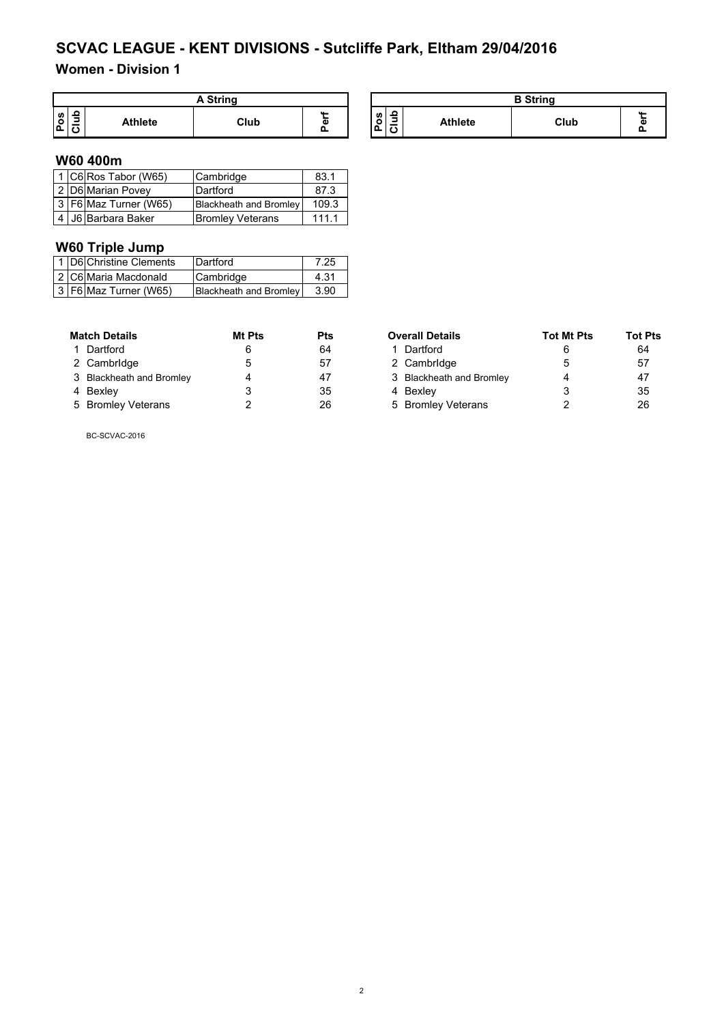## **Women - Division 1**

|         |   |                | A String |   |
|---------|---|----------------|----------|---|
| ဖ္<br>o | ے | <b>Athlete</b> | Club     | ω |

| A String |   |                      |   |                | <b>B</b> String |  |
|----------|---|----------------------|---|----------------|-----------------|--|
| Club     | ω | <b>S</b><br>o<br>ם י | = | <b>Athlete</b> | Club            |  |

#### **W60 400m**

|  | 1 C6 Ros Tabor (W65)      | Cambridge                     | 83.1  |
|--|---------------------------|-------------------------------|-------|
|  | 2 D6 Marian Povey         | Dartford                      | 87.3  |
|  | 3   F6   Maz Turner (W65) | <b>Blackheath and Bromley</b> | 109.3 |
|  | 4 J6 Barbara Baker        | <b>Bromley Veterans</b>       | 111.1 |

## **W60 Triple Jump**

|  | 1   D6 Christine Clements | Dartford               | 7.25 |
|--|---------------------------|------------------------|------|
|  | 2 C6 Maria Macdonald      | Cambridge              | 4.31 |
|  | 3   F6   Maz Turner (W65) | Blackheath and Bromley | 3.90 |

| <b>Match Details</b>     | Mt Pts | <b>Pts</b> | <b>Overall Details</b>   | <b>Tot Mt Pts</b> | <b>Tot I</b> |
|--------------------------|--------|------------|--------------------------|-------------------|--------------|
| 1 Dartford               |        | 64         | 1 Dartford               |                   | 64           |
| 2 Cambridge              |        | 57         | 2 Cambridge              |                   | 57           |
| 3 Blackheath and Bromley |        | 47         | 3 Blackheath and Bromley | Δ                 | 47           |
| 4 Bexley                 |        | 35         | 4 Bexlev                 |                   | 35           |
| 5 Bromley Veterans       |        | 26         | 5 Bromley Veterans       |                   | 26           |

| <b>Match Details</b>     | Mt Pts | <b>Pts</b> | <b>Overall Details</b>   | <b>Tot Mt Pts</b> | Tot Pts |
|--------------------------|--------|------------|--------------------------|-------------------|---------|
| 1 Dartford               |        | 64         | 1 Dartford               |                   | 64      |
| 2 Cambridge              |        | 57         | 2 Cambridge              |                   | 57      |
| 3 Blackheath and Bromley |        | 47         | 3 Blackheath and Bromley |                   | 47      |
| 4 Bexley                 |        | 35         | 4 Bexlev                 |                   | 35      |
| 5 Bromley Veterans       |        | 26         | 5 Bromley Veterans       |                   | 26      |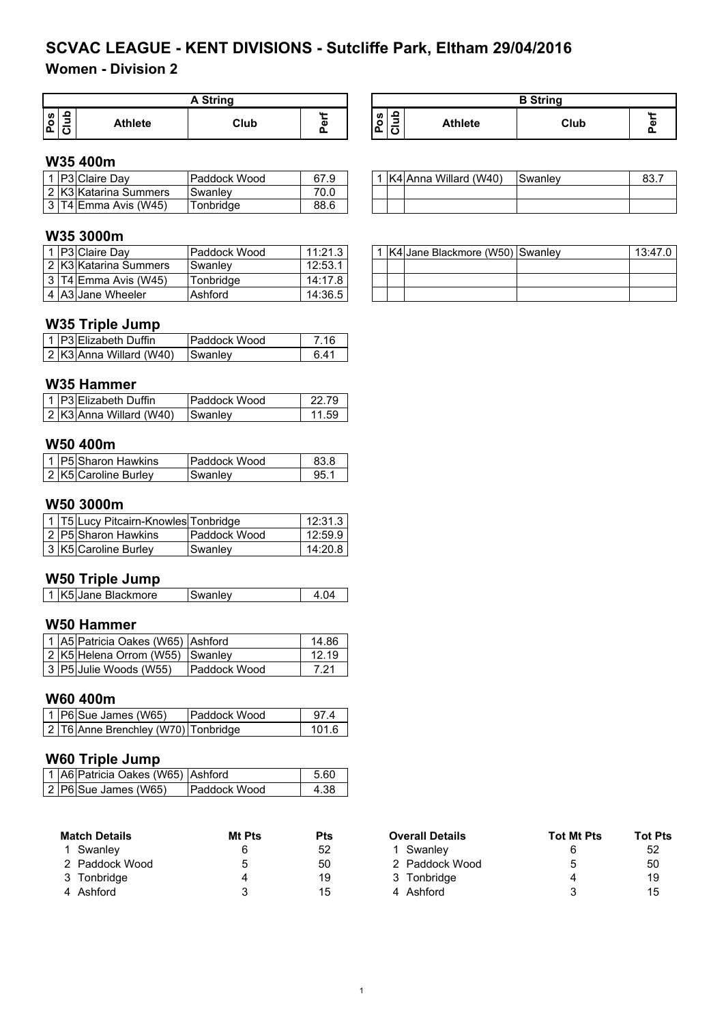# **Women - Division 2**

| A String |                |      |   |  |  |
|----------|----------------|------|---|--|--|
| U)       | <b>Athlete</b> | Club | ω |  |  |

#### **Pos Club** Athlete | Club **Perf A String B String**

### **W35 400m**

|  | <b>IP3IClaire Dav</b>   | Paddock Wood | 67.9 |  | K4 Anna Willard (W40) | Swanley | 83.7 |
|--|-------------------------|--------------|------|--|-----------------------|---------|------|
|  | 2 K3 Katarina Summers   | Swanley      | 70.0 |  |                       |         |      |
|  | 3 T4 Emma Avis<br>(W45) | Tonbridae    | 88.6 |  |                       |         |      |

### **W35 3000m**

|  | <b>IP3 Claire Dav</b>            | Paddock Wood   | 11:21.3 |  | . K4 Jane Blackmore (W50) Swanley | 13:47.0 |
|--|----------------------------------|----------------|---------|--|-----------------------------------|---------|
|  | 2 K3 Katarina Summers            | <b>Swanlev</b> | 12:53.  |  |                                   |         |
|  | 3 T4 E <sub>mma</sub> Avis (W45) | Tonbridae      | 14:17.8 |  |                                   |         |
|  | 4 A3 Jane Wheeler                | Ashford        | 14:36.5 |  |                                   |         |

#### **W35 Triple Jump**

|  | 1 P3 Elizabeth Duffin   | lPaddock Wood   | 7 16 |
|--|-------------------------|-----------------|------|
|  | 2 K3 Anna Willard (W40) | <b>ISwanlev</b> | ճ 41 |

#### **W35 Hammer**

|  | 1   P3 Elizabeth Duffin     | <b>Paddock Wood</b> |       |
|--|-----------------------------|---------------------|-------|
|  | $ 2 $ K3 Anna Willard (W40) | <b>Swanley</b>      | 11.59 |

#### **W50 400m**

|  | 1 P5 Sharon Hawkins  | <b>IPaddock Wood</b> | 83.8 |
|--|----------------------|----------------------|------|
|  | 2 K5 Caroline Burley | Swanlev              | 95.  |

#### **W50 3000m**

|  | 1 T5 Lucy Pitcairn-Knowles Tonbridge |                     | 12:31.3 |
|--|--------------------------------------|---------------------|---------|
|  | 2 P5 Sharon Hawkins                  | <b>Paddock Wood</b> | 12:59.9 |
|  | 3 K5 Caroline Burley                 | Swanlev             | 14:20.8 |

#### **W50 Triple Jump**

| 1 K5 Jane Blackmore | Swanley |  |
|---------------------|---------|--|
|                     |         |  |

### **W50 Hammer**

|  | 1 A5 Patricia Oakes (W65) Ashford |                     | 14.86 |
|--|-----------------------------------|---------------------|-------|
|  | 2 K5 Helena Orrom (W55) Swanley   |                     | 12.19 |
|  | 3 P5 Julie Woods (W55)            | <b>Paddock Wood</b> | 7.21  |

#### **W60 400m**

|  | $\vert$ 1   P6 Sue James (W65)      | <b>Paddock Wood</b> | 97 4  |
|--|-------------------------------------|---------------------|-------|
|  | 2 T6 Anne Brenchley (W70) Tonbridge |                     | 101 6 |

## **W60 Triple Jump**

|  | 1 A6 Patricia Oakes (W65) Ashford |                     | 5.60 |
|--|-----------------------------------|---------------------|------|
|  | 2 P6 Sue James (W65)              | <b>Paddock Wood</b> | 4.38 |

| <b>Match Details</b> | Mt Pts | <b>Pts</b> | <b>Overall Details</b> | <b>Tot Mt Pts</b> | Tot I |
|----------------------|--------|------------|------------------------|-------------------|-------|
| Swanlev              |        | 52         | Swanlev                |                   | 52    |
| 2 Paddock Wood       |        | 50         | 2 Paddock Wood         | 5                 | 50    |
| 3 Tonbridge          |        | 19         | 3 Tonbridge            |                   | 19    |
| 4 Ashford            |        | 15         | Ashford                | 2                 | 15    |

|  | 1 K4 Anna Willard (W40) | Swanley |  |
|--|-------------------------|---------|--|
|  |                         |         |  |
|  |                         |         |  |

|  | 1   K4   Jane Blackmore (W50)   Swanley | 13:47.0 |
|--|-----------------------------------------|---------|
|  |                                         |         |
|  |                                         |         |
|  |                                         |         |

| Match Details  | Mt Pts | <b>Pts</b> | <b>Overall Details</b> | <b>Tot Mt Pts</b> | <b>Tot Pts</b> |  |
|----------------|--------|------------|------------------------|-------------------|----------------|--|
| 1 Swanlev      |        | 52         | Swanlev                |                   | 52             |  |
| 2 Paddock Wood | h      | 50         | 2 Paddock Wood         |                   | 50             |  |
| 3 Tonbridge    |        | 19         | 3 Tonbridge            |                   | 19             |  |
| 4 Ashford      |        | 15         | 4 Ashford              |                   | 15             |  |